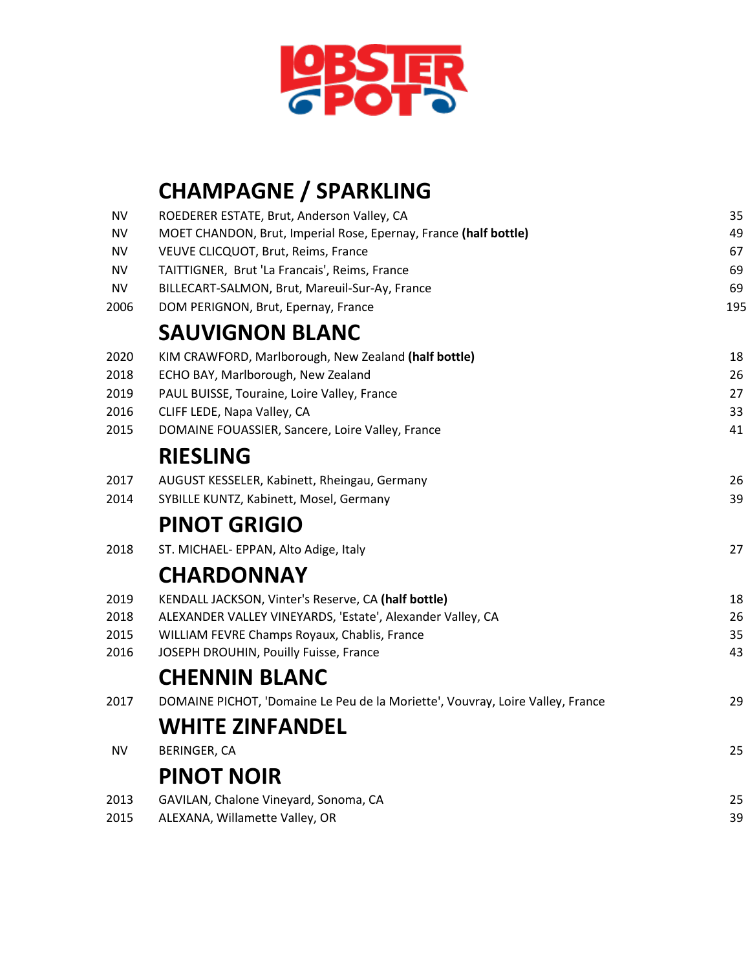

## **CHAMPAGNE / SPARKLING**

| ΝV        | ROEDERER ESTATE, Brut, Anderson Valley, CA                                     | 35  |
|-----------|--------------------------------------------------------------------------------|-----|
| NV        | MOET CHANDON, Brut, Imperial Rose, Epernay, France (half bottle)               | 49  |
| NV        | VEUVE CLICQUOT, Brut, Reims, France                                            | 67  |
| NV        | TAITTIGNER, Brut 'La Francais', Reims, France                                  | 69  |
| <b>NV</b> | BILLECART-SALMON, Brut, Mareuil-Sur-Ay, France                                 | 69  |
| 2006      | DOM PERIGNON, Brut, Epernay, France                                            | 195 |
|           | <b>SAUVIGNON BLANC</b>                                                         |     |
| 2020      | KIM CRAWFORD, Marlborough, New Zealand (half bottle)                           | 18  |
| 2018      | ECHO BAY, Marlborough, New Zealand                                             | 26  |
| 2019      | PAUL BUISSE, Touraine, Loire Valley, France                                    | 27  |
| 2016      | CLIFF LEDE, Napa Valley, CA                                                    | 33  |
| 2015      | DOMAINE FOUASSIER, Sancere, Loire Valley, France                               | 41  |
|           | <b>RIESLING</b>                                                                |     |
| 2017      | AUGUST KESSELER, Kabinett, Rheingau, Germany                                   | 26  |
| 2014      | SYBILLE KUNTZ, Kabinett, Mosel, Germany                                        | 39  |
|           | <b>PINOT GRIGIO</b>                                                            |     |
| 2018      | ST. MICHAEL- EPPAN, Alto Adige, Italy                                          | 27  |
|           | <b>CHARDONNAY</b>                                                              |     |
| 2019      | KENDALL JACKSON, Vinter's Reserve, CA (half bottle)                            | 18  |
| 2018      | ALEXANDER VALLEY VINEYARDS, 'Estate', Alexander Valley, CA                     | 26  |
| 2015      | WILLIAM FEVRE Champs Royaux, Chablis, France                                   | 35  |
| 2016      | JOSEPH DROUHIN, Pouilly Fuisse, France                                         | 43  |
|           | <b>CHENNIN BLANC</b>                                                           |     |
| 2017      | DOMAINE PICHOT, 'Domaine Le Peu de la Moriette', Vouvray, Loire Valley, France | 29  |
|           | <b>WHITE ZINFANDEL</b>                                                         |     |
| <b>NV</b> | <b>BERINGER, CA</b>                                                            | 25  |
|           | <b>PINOT NOIR</b>                                                              |     |
| 2013      | GAVILAN, Chalone Vineyard, Sonoma, CA                                          | 25  |
| 2015      | ALEXANA, Willamette Valley, OR                                                 | 39  |
|           |                                                                                |     |